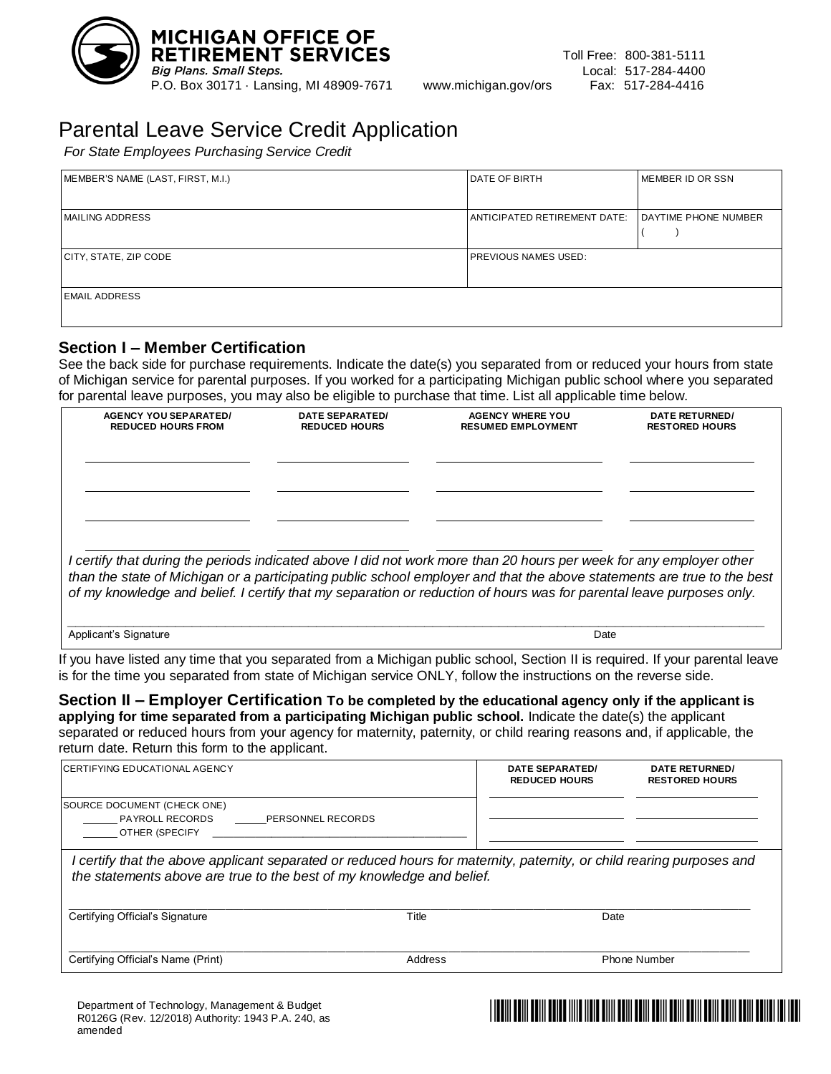

# Parental Leave Service Credit Application

*For State Employees Purchasing Service Credit*

| MEMBER'S NAME (LAST, FIRST, M.I.) | <b>DATE OF BIRTH</b>         | MEMBER ID OR SSN     |
|-----------------------------------|------------------------------|----------------------|
| <b>MAILING ADDRESS</b>            | ANTICIPATED RETIREMENT DATE: | DAYTIME PHONE NUMBER |
| CITY, STATE, ZIP CODE             | PREVIOUS NAMES USED:         |                      |
| <b>EMAIL ADDRESS</b>              |                              |                      |

#### **Section I – Member Certification**

See the back side for purchase requirements. Indicate the date(s) you separated from or reduced your hours from state of Michigan service for parental purposes. If you worked for a participating Michigan public school where you separated for parental leave purposes, you may also be eligible to purchase that time. List all applicable time below.

| <b>AGENCY YOU SEPARATED/</b><br><b>REDUCED HOURS FROM</b>                                                                                                                                                                                       | DATE SEPARATED/<br><b>REDUCED HOURS</b> | <b>AGENCY WHERE YOU</b><br><b>RESUMED EMPLOYMENT</b> | DATE RETURNED/<br><b>RESTORED HOURS</b> |
|-------------------------------------------------------------------------------------------------------------------------------------------------------------------------------------------------------------------------------------------------|-----------------------------------------|------------------------------------------------------|-----------------------------------------|
|                                                                                                                                                                                                                                                 |                                         |                                                      |                                         |
|                                                                                                                                                                                                                                                 |                                         |                                                      |                                         |
|                                                                                                                                                                                                                                                 |                                         |                                                      |                                         |
| I certify that during the periods indicated above I did not work more than 20 hours per week for any employer other                                                                                                                             |                                         |                                                      |                                         |
| than the state of Michigan or a participating public school employer and that the above statements are true to the best<br>of my knowledge and belief. I certify that my separation or reduction of hours was for parental leave purposes only. |                                         |                                                      |                                         |
|                                                                                                                                                                                                                                                 |                                         |                                                      |                                         |

Applicant's Signature Date of Contract of Contract of Contract of Contract of Contract of Contract of Contract of Contract of Contract of Contract of Contract of Contract of Contract of Contract of Contract of Contract of

If you have listed any time that you separated from a Michigan public school, Section II is required. If your parental leave is for the time you separated from state of Michigan service ONLY, follow the instructions on the reverse side.

**Section II – Employer Certification To be completed by the educational agency only if the applicant is applying for time separated from a participating Michigan public school.** Indicate the date(s) the applicant separated or reduced hours from your agency for maternity, paternity, or child rearing reasons and, if applicable, the return date. Return this form to the applicant.

| <b>CERTIFYING EDUCATIONAL AGENCY</b>                                                                                                                                                           |       | DATE SEPARATED/<br><b>REDUCED HOURS</b> | DATE RETURNED/<br><b>RESTORED HOURS</b> |
|------------------------------------------------------------------------------------------------------------------------------------------------------------------------------------------------|-------|-----------------------------------------|-----------------------------------------|
| SOURCE DOCUMENT (CHECK ONE)<br><b>PAYROLL RECORDS</b><br>PERSONNEL RECORDS<br>OTHER (SPECIFY                                                                                                   |       |                                         |                                         |
|                                                                                                                                                                                                |       |                                         |                                         |
| l certify that the above applicant separated or reduced hours for maternity, paternity, or child rearing purposes and<br>the statements above are true to the best of my knowledge and belief. |       |                                         |                                         |
| Certifying Official's Signature                                                                                                                                                                | Title | Date                                    |                                         |